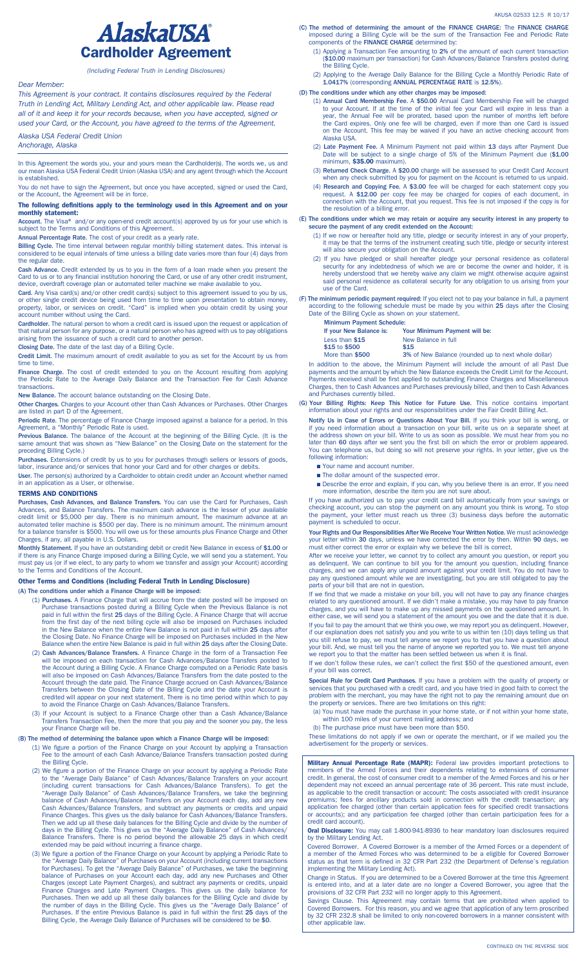

*(Including Federal Truth in Lending Disclosures)*

## *Dear Member:*

*This Agreement is your contract. It contains disclosures required by the Federal Truth in Lending Act, Military Lending Act, and other applicable law. Please read all of it and keep it for your records because, when you have accepted, signed or used your Card, or the Account, you have agreed to the terms of the Agreement.*

*Alaska USA Federal Credit Union*

*Anchorage, Alaska*

In this Agreement the words you, your and yours mean the Cardholder(s). The words we, us and our mean Alaska USA Federal Credit Union (Alaska USA) and any agent through which the Account is established.

You do not have to sign the Agreement, but once you have accepted, signed or used the Card, or the Account, the Agreement will be in force.

#### The following definitions apply to the terminology used in this Agreement and on your monthly statement:

Account. The Visa® and/or any open-end credit account(s) approved by us for your use which is subject to the Terms and Conditions of this Agreement.

Annual Percentage Rate. The cost of your credit as a yearly rate.

Billing Cycle. The time interval between regular monthly billing statement dates. This interval is considered to be equal intervals of time unless a billing date varies more than four (4) days from the regular date.

Cash Advance. Credit extended by us to you in the form of a loan made when you present the<br>Card to us or to any financial institution honoring the Card, or use of any other credit instrument,<br>device, overdraft coverage pla

Card. Any Visa card(s) and/or other credit card(s) subject to this agreement issued to you by us,<br>or other single credit device being used from time to time upon presentation to obtain money,<br>property, labor, or services o account number without using the Card.

Cardholder. The natural person to whom a credit card is issued upon the request or application of<br>that natural person for any purpose, or a natural person who has agreed with us to pay obligations<br>arising from the issuance

Closing Date. The date of the last day of a Billing Cycle.

Credit Limit. The maximum amount of credit available to you as set for the Account by us from time to time.

Finance Charge. The cost of credit extended to you on the Account resulting from applying the Periodic Rate to the Average Daily Balance and the Transaction Fee for Cash Advance transactions.

New Balance. The account balance outstanding on the Closing Date.

Other Charges. Charges to your Account other than Cash Advances or Purchases. Other Charges are listed in part D of the Agreement.

Periodic Rate. The percentage of Finance Charge imposed against a balance for a period. In this (period) retain<br>Agreement, a "Monthly" Periodic Rate is used.

Previous Balance. The balance of the Account at the beginning of the Billing Cycle. (It is the same amount that was shown as "New Balance" on the Closing Date on the statement for the preceding Billing Cycle.)

Purchases. Extensions of credit by us to you for purchases through sellers or lessors of goods,<br>labor, insurance and/or services that honor your Card and for other charges or debits.

User. The person(s) authorized by a Cardholder to obtain credit under an Account whether named in an application as a User, or otherwise.

#### TERMS AND CONDITIONS

Purchases, Cash Advances, and Balance Transfers. You can use the Card for Purchases, Cash Advances, and Balance Transfers. The maximum cash advance is the lesser of your available<br>credit limit or \$5,000 per day. There is no minimum amount. The maximum advance at an<br>automated teller machine is \$500 per day. Ther Charges, if any, all payable in U.S. Dollars.

Monthly Statement. If you have an outstanding debit or credit New Balance in excess of \$1.00 or if there is any Finance Charge imposed during a Billing Cycle, we will send you a statement. You<br>must pay us (or if we elect, to any party to whom we transfer and assign your Account) according<br>to the Terms and Conditions

## Other Terms and Conditions (including Federal Truth in Lending Disclosure)

(A) The conditions under which a Finance Charge will be imposed:

- (1) Purchases. A Finance Charge that will accrue from the date posted will be imposed on Purchase transactions posted during a Billing Cycle when the Previous Balance is not<br>paid in full within the first 25 days of the Billing Cycle. A Finance Charge that will accrue<br>from the first day of the next billing cycl the Closing Date. No Finance Charge will be imposed on Purchases included in the New Balance when the entire New Balance is paid in full within 25 days after the Closing Date.
- (2) Cash Advances/Balance Transfers. A Finance Charge in the form of a Transaction Fee will be imposed on each transaction for Cash Advances/Balance Transfers posted to the Account during a Billing Cycle. A Finance Charge will also be imposed on Cash Advances/Balance Transfers from the date posted to the<br>Account through the date paid. The Finance Charge accrued on Cash Advances/Balance<br>Transfers between the Closing Date of the Billing Cycle credited will appear on your next statement. There is no time period within which to pay to avoid the Finance Charge on Cash Advances/Balance Transfers.

(3) If your Account is subject to a Finance Charge other than a Cash Advance/Balance Transfers Transaction Fee, then the more that you pay and the sooner you pay, the less your Finance Charge will be.

#### (B) The method of determining the balance upon which a Finance Charge will be imposed:

(1) We figure a portion of the Finance Charge on your Account by applying a Transaction Fee to the amount of each Cash Advance/Balance Transfers transaction posted during the Billing Cycle.

(2) We figure a portion of the Finance Charge on your account by applying a Periodic Rate<br>to the "Average Daily Balance" of Cash Advances/Balance Transfers on your account<br>(including current transactions for Cash Advances/ balance of Cash Advances/Balance Transfers on your Account each day, add any new<br>Cash Advances/Balance Transfers, and subtract any payments or credits and unpaid<br>Finance Charges. This gives us the daily balance for Cash Ad extended may be paid without incurring a finance charge.

(3) We figure a portion of the Finance Charge on your Account by applying a Periodic Rate to<br>the "Average Daily Balance" of Purchases on your Account (including current transactions<br>for Purchases). To get the "Average Dail

- (C) The method of determining the amount of the FINANCE CHARGE: The FINANCE CHARGE imposed during a Billing Cycle will be the sum of the Transaction Fee and Periodic Rate components of the FINANCE CHARGE determined by:
	- (1) Applying a Transaction Fee amounting to 2% of the amount of each current transaction (\$10.00 maximum per transaction) for Cash Advances/Balance Transfers posted during the Billing Cycle.
- (2) Applying to the Average Daily Balance for the Billing Cycle a Monthly Periodic Rate of 1.0417% (corresponding ANNUAL PERCENTAGE RATE is 12.5%).
- (D) The conditions under which any other charges may be imposed:
	- (1) **Annual Card Membership Fee.** A \$50.00 Annual Card Membership Fee will be charged to your Account. If at the time of the initial fee your Card will expire in less than a year, the Annual Fee will be prorated, based upo Alaska USA.
	- (2) Late Payment Fee. A Minimum Payment not paid within 13 days after Payment Due<br>Date will be subject to a single charge of 5% of the Minimum Payment due (\$1.00<br>minimum, \$35.00 maximum).
	- (3) Returned Check Charge. A \$20.00 charge will be assessed to your Credit Card Account when any check submitted by you for payment on the Account is returned to us unpaid.
	- (4) Research and Copying Fee. A \$3.00 fee will be charged for each statement copy you request. A \$12.00 per copy fee may be charged for copies of each document, in connection with the Account, that you request. This fee is not imposed if the copy is for the resolution of a billing error.
- (E) The conditions under which we may retain or acquire any security interest in any property to secure the payment of any credit extended on the Account:
	- (1) If we now or hereafter hold any title, pledge or security interest in any of your property, it may be that the terms of the instrument creating such title, pledge or security interest will also secure your obligation on the Account.
	- (2) If you have pledged or shall hereafter pledge your personal residence as collateral security for any indebtedness of which we are or become the owner and holder, it is hereby understood that we hereby waive any claim w use of the Card.

(F) The minimum periodic payment required: If you elect not to pay your balance in full, a payment according to the following schedule must be made by you within 25 days after the Closing Date of the Billing Cycle as shown

|  |  | <b>Minimum Payment Schedule:</b> |
|--|--|----------------------------------|
|--|--|----------------------------------|

| If your New Balance is: | Your Minimum Payment will be: |  |
|-------------------------|-------------------------------|--|
| Less than \$15          | New Balance in full           |  |
| <b>415 to 4500</b>      | <b>415</b>                    |  |

More than  $$500$ 3% of New Balance (rounded up to next whole dollar)

In addition to the above, the Minimum Payment will include the amount of all Past Due payments and the amount by which the New Balance exceeds the Credit Limit for the Account.<br>Payments received shall be first applied to outstanding Finance Charges and Miscellaneous<br>Charges, then to Cash Advances and Purcha

(G) Your Billing Rights: Keep This Notice for Future Use. This notice contains important information about your rights and our responsibilities under the Fair Credit Billing Act.

Notify Us in Case of Errors or Questions About Your Bill. If you think your bill is wrong, or if you need information about a transaction on your bill, write us on a separate sheet at<br>the address shown on your bill. Write to us as soon as possible. We must hear from you no<br>later than 60 days after we sent you the f following information:

- Your name and account number.
- The dollar amount of the suspected error.
- n Describe the error and explain, if you can, why you believe there is an error. If you need more information, describe the item you are not sure about.

If you have authorized us to pay your credit card bill automatically from your savings or<br>checking account, you can stop the payment on any amount you think is wrong. To stop<br>the payment, your letter must reach us three (3

Your Rights and Our Responsibilities After We Receive Your Written Notice. We must acknowledge your letter within 30 days, unless we have corrected the error by then. Within 90 days, we must either correct the error or explain why we believe the bill is correct.

After we receive your letter, we cannot try to collect any amount you question, or report you<br>as delinquent. We can continue to bill you for the amount you question, including finance<br>charges, and we can apply any unpaid a pay any questioned amount while we are investigating, but you are still obligated to pay the parts of your bill that are not in question.

If we find that we made a mistake on your bill, you will not have to pay any finance charges<br>related to any questioned amount. If we didn't make a mistake, you may have to pay finance<br>charges, and you will have to make up either case, we will send you a statement of the amount you owe and the date that it is due.

If you fail to pay the amount that we think you owe, we may report you as delinquent. However, if our explanation does not satisfy you and you write to us within ten (10) days telling us that<br>you still refuse to pay, we must tell anyone we report you to that you have a question about<br>your bill. And, we must tell you

If we don't follow these rules, we can't collect the first \$50 of the questioned amount, even if your bill was correct.

Special Rule for Credit Card Purchases. If you have a problem with the quality of property or services that you purchased with a credit card, and you have tried in good faith to correct the<br>problem with the merchant, you may have the right not to pay the remaining amount due on<br>the property or services. There are t

(a) You must have made the purchase in your home state, or if not within your home state, within 100 miles of your current mailing address; and

(b) The purchase price must have been more than \$50.

These limitations do not apply if we own or operate the merchant, or if we mailed you the advertisement for the property or services.

**Military Annual Percentage Rate (MAPR):** Federal law provides important protections to<br>members of the Armed Forces and their dependents relating to extensions of consumer<br>credit. In general, the cost of consumer credit to dependent may not exceed an annual percentage rate of 36 percent. This rate must include, as applicable to the credit transaction or account: The costs associated with credit insurance premiums; fees for ancillary products sold in connection with the credit transaction; any<br>application fee charged (other than certain application fees for specified credit transactions<br>or accounts); and any participation f credit card account).

Oral Disclosure: You may call 1-800-941-8936 to hear mandatory loan disclosures required by the Military Lending Act.

Covered Borrower. A Covered Borrower is a member of the Armed Forces or a dependent of a member of the Armed Forces who was determined to be a eligible for Covered Borrower status as that term is defined in 32 CFR Part 232 (the Department of Defense's regulation implementing the Military Lending Act).

Change in Status. If you are determined to be a Covered Borrower at the time this Agreement<br>is entered into, and at a later date are no longer a Covered Borrower, you agree that the<br>provisions of 32 CFR Part 232 will no lo

Savings Clause. This Agreement may contain terms that are prohibited when applied to<br>Covered Borrowers. For this reason, you and we agree that application of any term proscribed<br>by 32 CFR 232.8 shall be limited to only non other applicable law.